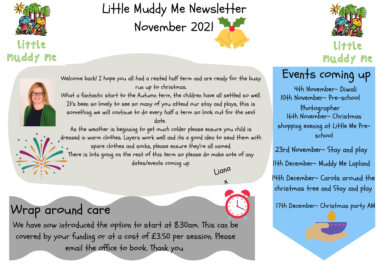

What a fantastic start to the Autumn term, the children have all settled so well. It's been so lovely to see so many of you attend our stay and plays, this is something we will continue to do every half a term so look out for the next date.

As the weather is beginning to get much colder please ensure you child is dressed in warm clothes. Layers work well and its a good idea to send them with spare clothes and socks, please ensure they're all named. There is lots going on the rest of this term so please do make note of any dates/events coming up.



## Little Muddy Me Newsletter November 2021

#### Little muddy me

Liana



 $\lambda$ 

## Events coming up

11th December- Muddy Me Lapland

4th November- Diwali 16th November- Christmas shopping evening at Little Me Preschool 10th November- Pre-school Photographer

23rd November- Stay and play

17th December- Christmas party AM

14th December- Carols around the christmas tree and Stay and play

### Wrap around care

We have now introduced the option to start at 8:30am. This can be covered by your funding or at a cost of £3.50 per session. Please email the office to book. Thank you





Little muddy me